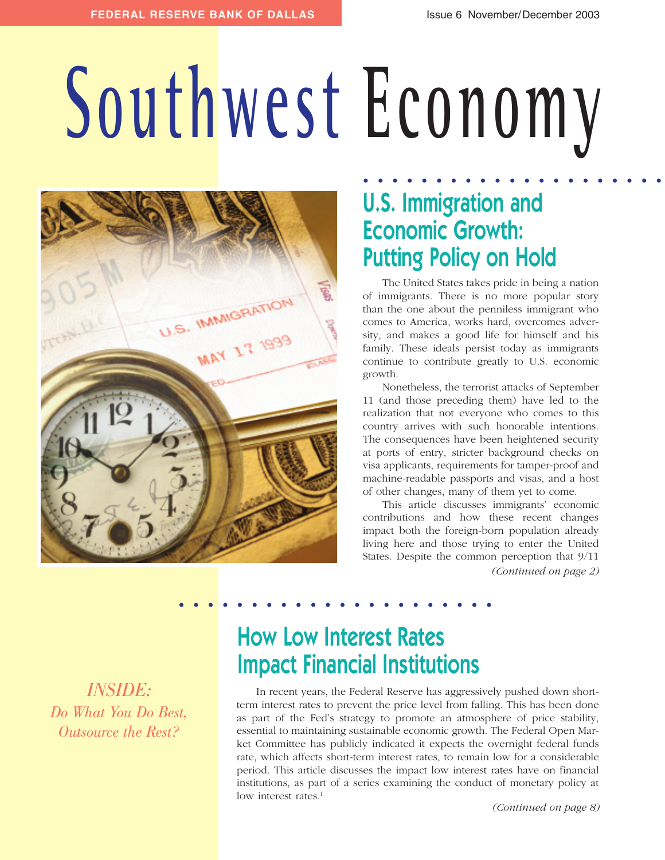# **Southwest Economy**



## **U.S. Immigration and Economic Growth: Putting Policy on Hold . . . . . . . . . . . . . . . . . . . . .**

The United States takes pride in being a nation of immigrants. There is no more popular story than the one about the penniless immigrant who comes to America, works hard, overcomes adversity, and makes a good life for himself and his family. These ideals persist today as immigrants continue to contribute greatly to U.S. economic growth.

Nonetheless, the terrorist attacks of September 11 (and those preceding them) have led to the realization that not everyone who comes to this country arrives with such honorable intentions. The consequences have been heightened security at ports of entry, stricter background checks on visa applicants, requirements for tamper-proof and machine-readable passports and visas, and a host of other changes, many of them yet to come.

This article discusses immigrants' economic contributions and how these recent changes impact both the foreign-born population already living here and those trying to enter the United States. Despite the common perception that 9/11 *(Continued on page 2)*

*INSIDE: Do What You Do Best, Outsource the Rest?*

# **How Low Interest Rates Impact Financial Institutions**

**. . . . . . . . . . . . . . . . . . . . . .**

In recent years, the Federal Reserve has aggressively pushed down shortterm interest rates to prevent the price level from falling. This has been done as part of the Fed's strategy to promote an atmosphere of price stability, essential to maintaining sustainable economic growth. The Federal Open Market Committee has publicly indicated it expects the overnight federal funds rate, which affects short-term interest rates, to remain low for a considerable period. This article discusses the impact low interest rates have on financial institutions, as part of a series examining the conduct of monetary policy at low interest rates.<sup>1</sup>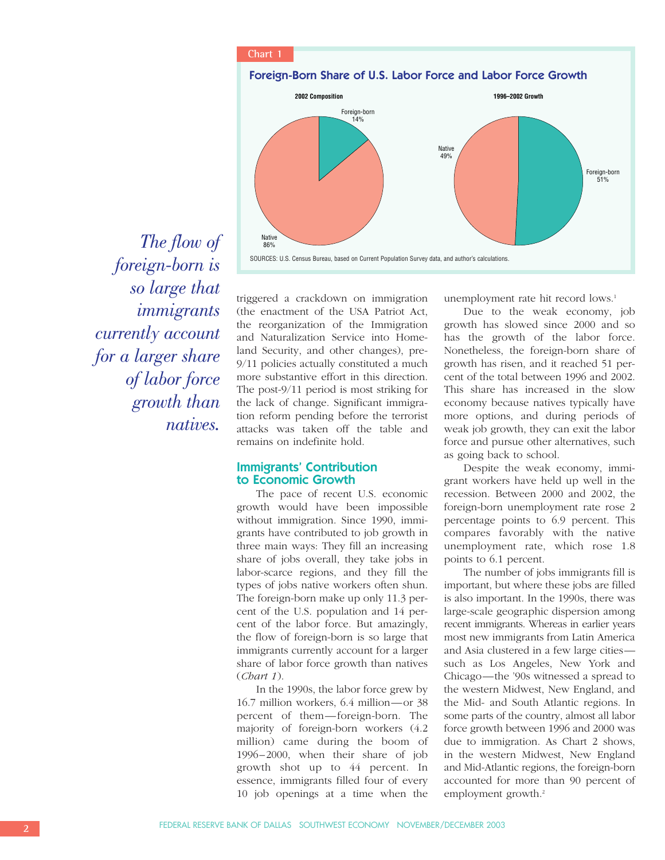

*The flow of foreign-born is so large that immigrants currently account for a larger share of labor force growth than natives.*

triggered a crackdown on immigration (the enactment of the USA Patriot Act, the reorganization of the Immigration and Naturalization Service into Homeland Security, and other changes), pre-9/11 policies actually constituted a much more substantive effort in this direction. The post-9/11 period is most striking for the lack of change. Significant immigration reform pending before the terrorist attacks was taken off the table and remains on indefinite hold.

## **Immigrants' Contribution to Economic Growth**

The pace of recent U.S. economic growth would have been impossible without immigration. Since 1990, immigrants have contributed to job growth in three main ways: They fill an increasing share of jobs overall, they take jobs in labor-scarce regions, and they fill the types of jobs native workers often shun. The foreign-born make up only 11.3 percent of the U.S. population and 14 percent of the labor force. But amazingly, the flow of foreign-born is so large that immigrants currently account for a larger share of labor force growth than natives (*Chart 1*).

In the 1990s, the labor force grew by 16.7 million workers, 6.4 million—or 38 percent of them—foreign-born. The majority of foreign-born workers (4.2 million) came during the boom of 1996–2000, when their share of job growth shot up to 44 percent. In essence, immigrants filled four of every 10 job openings at a time when the

unemployment rate hit record lows.<sup>1</sup>

Due to the weak economy, job growth has slowed since 2000 and so has the growth of the labor force. Nonetheless, the foreign-born share of growth has risen, and it reached 51 percent of the total between 1996 and 2002. This share has increased in the slow economy because natives typically have more options, and during periods of weak job growth, they can exit the labor force and pursue other alternatives, such as going back to school.

Despite the weak economy, immigrant workers have held up well in the recession. Between 2000 and 2002, the foreign-born unemployment rate rose 2 percentage points to 6.9 percent. This compares favorably with the native unemployment rate, which rose 1.8 points to 6.1 percent.

The number of jobs immigrants fill is important, but where these jobs are filled is also important. In the 1990s, there was large-scale geographic dispersion among recent immigrants. Whereas in earlier years most new immigrants from Latin America and Asia clustered in a few large cities such as Los Angeles, New York and Chicago—the '90s witnessed a spread to the western Midwest, New England, and the Mid- and South Atlantic regions. In some parts of the country, almost all labor force growth between 1996 and 2000 was due to immigration. As Chart 2 shows, in the western Midwest, New England and Mid-Atlantic regions, the foreign-born accounted for more than 90 percent of employment growth.<sup>2</sup>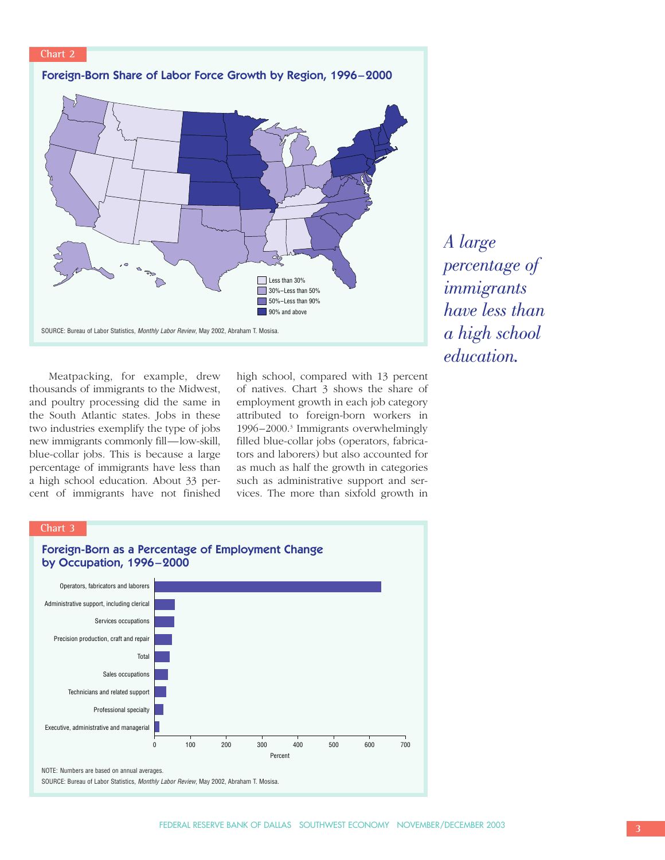

Meatpacking, for example, drew thousands of immigrants to the Midwest, and poultry processing did the same in the South Atlantic states. Jobs in these two industries exemplify the type of jobs new immigrants commonly fill—low-skill, blue-collar jobs. This is because a large percentage of immigrants have less than a high school education. About 33 percent of immigrants have not finished

high school, compared with 13 percent of natives. Chart 3 shows the share of employment growth in each job category attributed to foreign-born workers in 1996–2000.3 Immigrants overwhelmingly filled blue-collar jobs (operators, fabricators and laborers) but also accounted for as much as half the growth in categories such as administrative support and services. The more than sixfold growth in *A large percentage of immigrants have less than a high school education.*

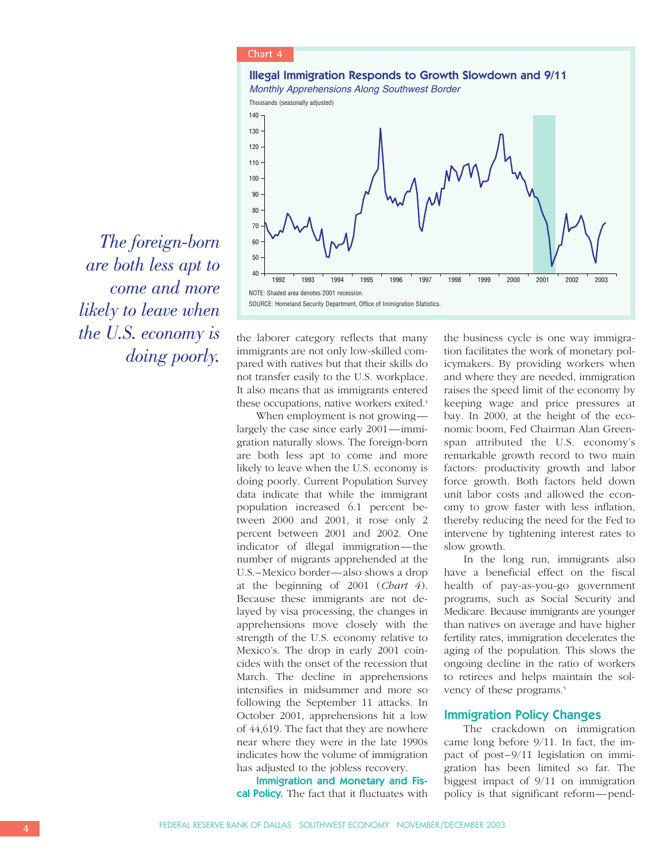

*The foreign-born are both less apt to come and more likely to leave when the U.S. economy is doing poorly.*

the laborer category reflects that many immigrants are not only low-skilled compared with natives but that their skills do not transfer easily to the U.S. workplace. It also means that as immigrants entered these occupations, native workers exited.<sup>4</sup>

When employment is not growing largely the case since early 2001—immigration naturally slows. The foreign-born are both less apt to come and more likely to leave when the U.S. economy is doing poorly. Current Population Survey data indicate that while the immigrant population increased 6.1 percent between 2000 and 2001, it rose only 2 percent between 2001 and 2002. One indicator of illegal immigration—the number of migrants apprehended at the U.S.–Mexico border—also shows a drop at the beginning of 2001 (*Chart 4*). Because these immigrants are not delayed by visa processing, the changes in apprehensions move closely with the strength of the U.S. economy relative to Mexico's. The drop in early 2001 coincides with the onset of the recession that March. The decline in apprehensions intensifies in midsummer and more so following the September 11 attacks. In October 2001, apprehensions hit a low of 44,619. The fact that they are nowhere near where they were in the late 1990s indicates how the volume of immigration has adjusted to the jobless recovery.

**Immigration and Monetary and Fiscal Policy.** The fact that it fluctuates with

the business cycle is one way immigration facilitates the work of monetary policymakers. By providing workers when and where they are needed, immigration raises the speed limit of the economy by keeping wage and price pressures at bay. In 2000, at the height of the economic boom, Fed Chairman Alan Greenspan attributed the U.S. economy's remarkable growth record to two main factors: productivity growth and labor force growth. Both factors held down unit labor costs and allowed the economy to grow faster with less inflation, thereby reducing the need for the Fed to intervene by tightening interest rates to slow growth.

In the long run, immigrants also have a beneficial effect on the fiscal health of pay-as-you-go government programs, such as Social Security and Medicare. Because immigrants are younger than natives on average and have higher fertility rates, immigration decelerates the aging of the population. This slows the ongoing decline in the ratio of workers to retirees and helps maintain the solvency of these programs.<sup>5</sup>

#### **Immigration Policy Changes**

The crackdown on immigration came long before 9/11. In fact, the impact of post–9/11 legislation on immigration has been limited so far. The biggest impact of 9/11 on immigration policy is that significant reform—pend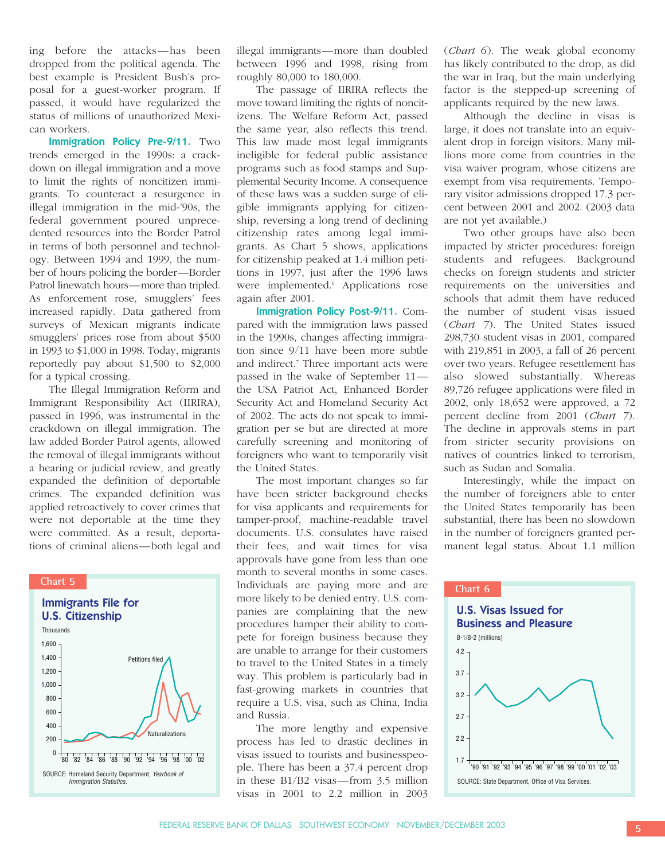ing before the attacks—has been dropped from the political agenda. The best example is President Bush's proposal for a guest-worker program. If passed, it would have regularized the status of millions of unauthorized Mexican workers.

**Immigration Policy Pre-9/11.** Two trends emerged in the 1990s: a crackdown on illegal immigration and a move to limit the rights of noncitizen immigrants. To counteract a resurgence in illegal immigration in the mid-'90s, the federal government poured unprecedented resources into the Border Patrol in terms of both personnel and technology. Between 1994 and 1999, the number of hours policing the border—Border Patrol linewatch hours—more than tripled. As enforcement rose, smugglers' fees increased rapidly. Data gathered from surveys of Mexican migrants indicate smugglers' prices rose from about \$500 in 1993 to \$1,000 in 1998. Today, migrants reportedly pay about \$1,500 to \$2,000 for a typical crossing.

The Illegal Immigration Reform and Immigrant Responsibility Act (IIRIRA), passed in 1996, was instrumental in the crackdown on illegal immigration. The law added Border Patrol agents, allowed the removal of illegal immigrants without a hearing or judicial review, and greatly expanded the definition of deportable crimes. The expanded definition was applied retroactively to cover crimes that were not deportable at the time they were committed. As a result, deportations of criminal aliens—both legal and



illegal immigrants—more than doubled between 1996 and 1998, rising from roughly 80,000 to 180,000.

The passage of IIRIRA reflects the move toward limiting the rights of noncitizens. The Welfare Reform Act, passed the same year, also reflects this trend. This law made most legal immigrants ineligible for federal public assistance programs such as food stamps and Supplemental Security Income. A consequence of these laws was a sudden surge of eligible immigrants applying for citizenship, reversing a long trend of declining citizenship rates among legal immigrants. As Chart 5 shows, applications for citizenship peaked at 1.4 million petitions in 1997, just after the 1996 laws were implemented.<sup>6</sup> Applications rose again after 2001.

**Immigration Policy Post-9/11.** Compared with the immigration laws passed in the 1990s, changes affecting immigration since 9/11 have been more subtle and indirect.7 Three important acts were passed in the wake of September 11 the USA Patriot Act, Enhanced Border Security Act and Homeland Security Act of 2002. The acts do not speak to immigration per se but are directed at more carefully screening and monitoring of foreigners who want to temporarily visit the United States.

The most important changes so far have been stricter background checks for visa applicants and requirements for tamper-proof, machine-readable travel documents. U.S. consulates have raised their fees, and wait times for visa approvals have gone from less than one month to several months in some cases. Individuals are paying more and are more likely to be denied entry. U.S. companies are complaining that the new procedures hamper their ability to compete for foreign business because they are unable to arrange for their customers to travel to the United States in a timely way. This problem is particularly bad in fast-growing markets in countries that require a U.S. visa, such as China, India and Russia.

The more lengthy and expensive process has led to drastic declines in visas issued to tourists and businesspeople. There has been a 37.4 percent drop in these B1/B2 visas—from 3.5 million visas in 2001 to 2.2 million in 2003

(*Chart 6*). The weak global economy has likely contributed to the drop, as did the war in Iraq, but the main underlying factor is the stepped-up screening of applicants required by the new laws.

Although the decline in visas is large, it does not translate into an equivalent drop in foreign visitors. Many millions more come from countries in the visa waiver program, whose citizens are exempt from visa requirements. Temporary visitor admissions dropped 17.3 percent between 2001 and 2002. (2003 data are not yet available.)

Two other groups have also been impacted by stricter procedures: foreign students and refugees. Background checks on foreign students and stricter requirements on the universities and schools that admit them have reduced the number of student visas issued (*Chart 7*). The United States issued 298,730 student visas in 2001, compared with 219,851 in 2003, a fall of 26 percent over two years. Refugee resettlement has also slowed substantially. Whereas 89,726 refugee applications were filed in 2002, only 18,652 were approved, a 72 percent decline from 2001 (*Chart 7*). The decline in approvals stems in part from stricter security provisions on natives of countries linked to terrorism, such as Sudan and Somalia.

Interestingly, while the impact on the number of foreigners able to enter the United States temporarily has been substantial, there has been no slowdown in the number of foreigners granted permanent legal status. About 1.1 million

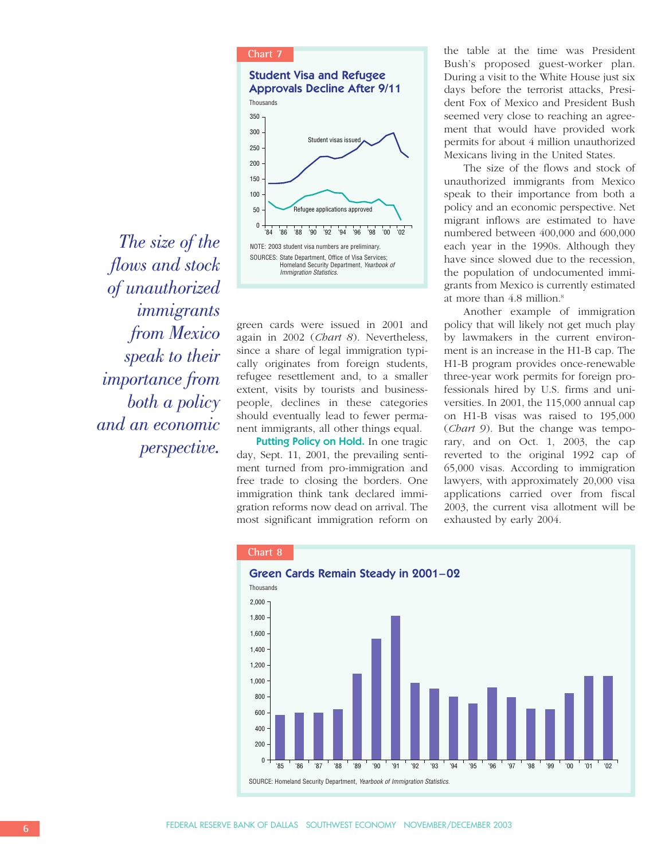### **Chart 7**



*The size of the flows and stock of unauthorized immigrants from Mexico speak to their importance from both a policy and an economic perspective.*

green cards were issued in 2001 and again in 2002 (*Chart 8*). Nevertheless, since a share of legal immigration typically originates from foreign students, refugee resettlement and, to a smaller extent, visits by tourists and businesspeople, declines in these categories should eventually lead to fewer permanent immigrants, all other things equal.

**Putting Policy on Hold.** In one tragic day, Sept. 11, 2001, the prevailing sentiment turned from pro-immigration and free trade to closing the borders. One immigration think tank declared immigration reforms now dead on arrival. The most significant immigration reform on the table at the time was President Bush's proposed guest-worker plan. During a visit to the White House just six days before the terrorist attacks, President Fox of Mexico and President Bush seemed very close to reaching an agreement that would have provided work permits for about 4 million unauthorized Mexicans living in the United States.

The size of the flows and stock of unauthorized immigrants from Mexico speak to their importance from both a policy and an economic perspective. Net migrant inflows are estimated to have numbered between 400,000 and 600,000 each year in the 1990s. Although they have since slowed due to the recession, the population of undocumented immigrants from Mexico is currently estimated at more than 4.8 million.<sup>8</sup>

Another example of immigration policy that will likely not get much play by lawmakers in the current environment is an increase in the H1-B cap. The H1-B program provides once-renewable three-year work permits for foreign professionals hired by U.S. firms and universities. In 2001, the 115,000 annual cap on H1-B visas was raised to 195,000 (*Chart 9*). But the change was temporary, and on Oct. 1, 2003, the cap reverted to the original 1992 cap of 65,000 visas. According to immigration lawyers, with approximately 20,000 visa applications carried over from fiscal 2003, the current visa allotment will be exhausted by early 2004.